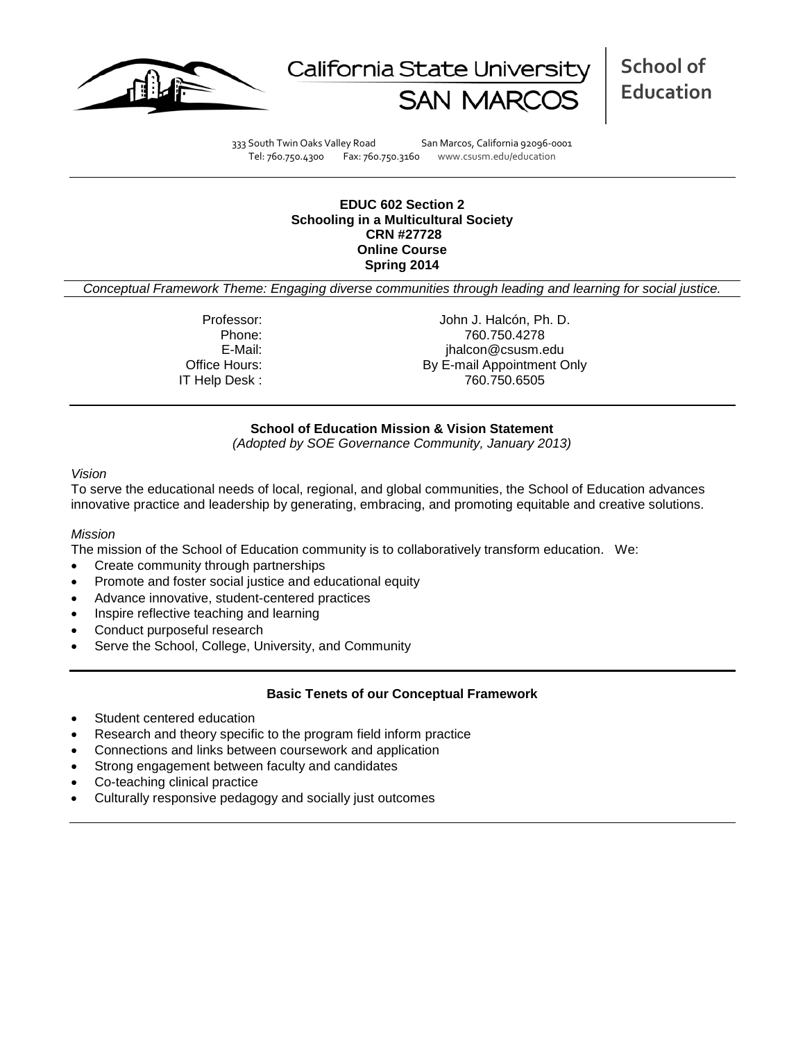



**School of Education**

333 South Twin Oaks Valley Road San Marcos, California 92096-0001 Tel: 760.750.4300 Fax: 760.750.3160 www.csusm.edu/education

#### **EDUC 602 Section 2 Schooling in a Multicultural Society CRN #27728 Online Course Spring 2014**

*Conceptual Framework Theme: Engaging diverse communities through leading and learning for social justice.*

IT Help Desk :

Professor: John J. Halcón, Ph. D.<br>Phone: 760.750.4278 Phone: 760.750.4278 E-Mail: jhalcon@csusm.edu Office Hours: By E-mail Appointment Only

#### **School of Education Mission & Vision Statement**

*(Adopted by SOE Governance Community, January 2013)*

#### *Vision*

To serve the educational needs of local, regional, and global communities, the School of Education advances innovative practice and leadership by generating, embracing, and promoting equitable and creative solutions.

#### *Mission*

The mission of the School of Education community is to collaboratively transform education. We:

- Create community through partnerships
- Promote and foster social justice and educational equity
- Advance innovative, student-centered practices
- Inspire reflective teaching and learning
- Conduct purposeful research
- Serve the School, College, University, and Community

#### **Basic Tenets of our Conceptual Framework**

- Student centered education
- Research and theory specific to the program field inform practice
- Connections and links between coursework and application
- Strong engagement between faculty and candidates
- Co-teaching clinical practice
- Culturally responsive pedagogy and socially just outcomes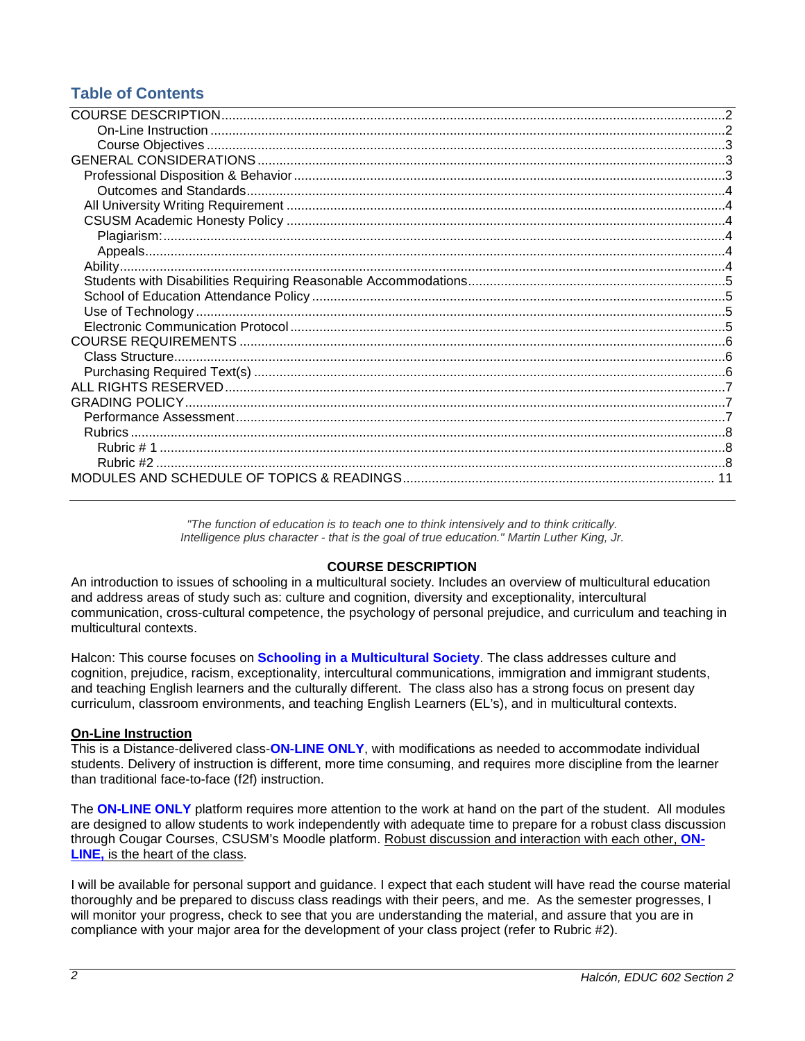# **Table of Contents**

*"The function of education is to teach one to think intensively and to think critically. Intelligence plus character - that is the goal of true education." Martin Luther King, Jr.*

# **COURSE DESCRIPTION**

<span id="page-1-0"></span>An introduction to issues of schooling in a multicultural society. Includes an overview of multicultural education and address areas of study such as: culture and cognition, diversity and exceptionality, intercultural communication, cross-cultural competence, the psychology of personal prejudice, and curriculum and teaching in multicultural contexts.

Halcon: This course focuses on **Schooling in a Multicultural Society**. The class addresses culture and cognition, prejudice, racism, exceptionality, intercultural communications, immigration and immigrant students, and teaching English learners and the culturally different. The class also has a strong focus on present day curriculum, classroom environments, and teaching English Learners (EL's), and in multicultural contexts.

## <span id="page-1-1"></span>**On-Line Instruction**

This is a Distance-delivered class-**ON-LINE ONLY**, with modifications as needed to accommodate individual students. Delivery of instruction is different, more time consuming, and requires more discipline from the learner than traditional face-to-face (f2f) instruction.

The **ON-LINE ONLY** platform requires more attention to the work at hand on the part of the student. All modules are designed to allow students to work independently with adequate time to prepare for a robust class discussion through Cougar Courses, CSUSM's Moodle platform. Robust discussion and interaction with each other, **ON-LINE,** is the heart of the class.

<span id="page-1-2"></span>I will be available for personal support and guidance. I expect that each student will have read the course material thoroughly and be prepared to discuss class readings with their peers, and me. As the semester progresses, I will monitor your progress, check to see that you are understanding the material, and assure that you are in compliance with your major area for the development of your class project (refer to Rubric #2).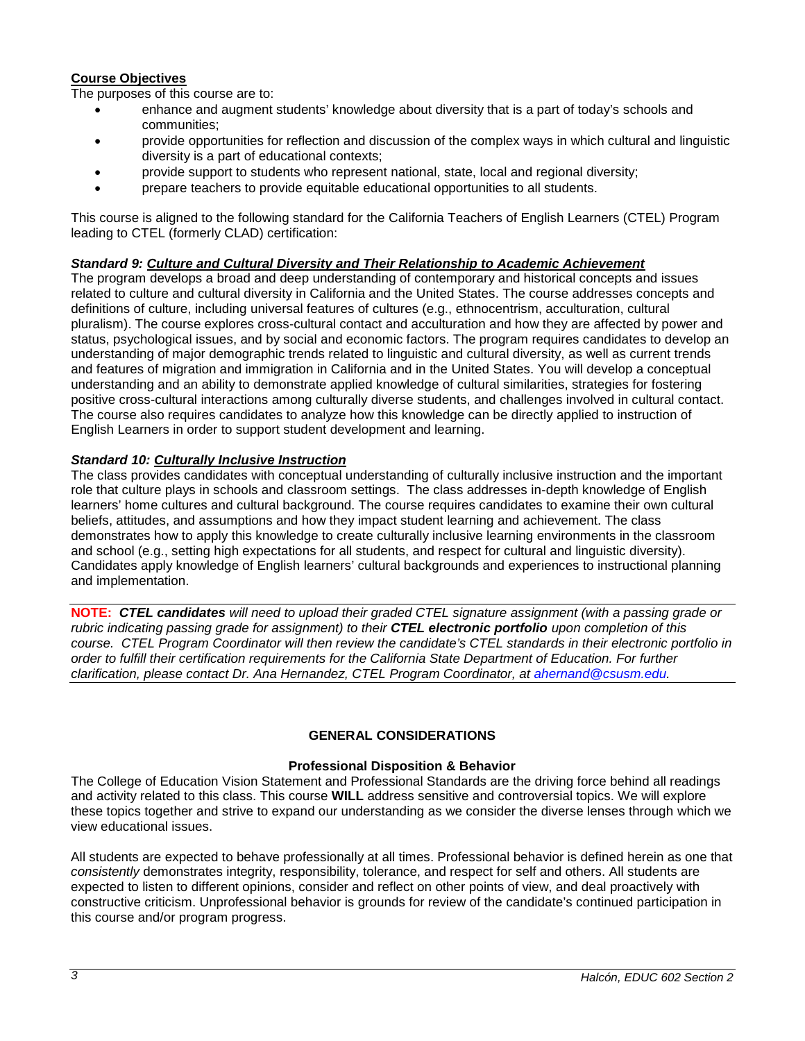## **Course Objectives**

The purposes of this course are to:

- enhance and augment students' knowledge about diversity that is a part of today's schools and communities;
- provide opportunities for reflection and discussion of the complex ways in which cultural and linguistic diversity is a part of educational contexts;
- provide support to students who represent national, state, local and regional diversity;
- prepare teachers to provide equitable educational opportunities to all students.

This course is aligned to the following standard for the California Teachers of English Learners (CTEL) Program leading to CTEL (formerly CLAD) certification:

## *Standard 9: Culture and Cultural Diversity and Their Relationship to Academic Achievement*

The program develops a broad and deep understanding of contemporary and historical concepts and issues related to culture and cultural diversity in California and the United States. The course addresses concepts and definitions of culture, including universal features of cultures (e.g., ethnocentrism, acculturation, cultural pluralism). The course explores cross-cultural contact and acculturation and how they are affected by power and status, psychological issues, and by social and economic factors. The program requires candidates to develop an understanding of major demographic trends related to linguistic and cultural diversity, as well as current trends and features of migration and immigration in California and in the United States. You will develop a conceptual understanding and an ability to demonstrate applied knowledge of cultural similarities, strategies for fostering positive cross-cultural interactions among culturally diverse students, and challenges involved in cultural contact. The course also requires candidates to analyze how this knowledge can be directly applied to instruction of English Learners in order to support student development and learning.

#### *Standard 10: Culturally Inclusive Instruction*

The class provides candidates with conceptual understanding of culturally inclusive instruction and the important role that culture plays in schools and classroom settings. The class addresses in-depth knowledge of English learners' home cultures and cultural background. The course requires candidates to examine their own cultural beliefs, attitudes, and assumptions and how they impact student learning and achievement. The class demonstrates how to apply this knowledge to create culturally inclusive learning environments in the classroom and school (e.g., setting high expectations for all students, and respect for cultural and linguistic diversity). Candidates apply knowledge of English learners' cultural backgrounds and experiences to instructional planning and implementation.

**NOTE:** *CTEL candidates will need to upload their graded CTEL signature assignment (with a passing grade or rubric indicating passing grade for assignment) to their CTEL electronic portfolio upon completion of this course. CTEL Program Coordinator will then review the candidate's CTEL standards in their electronic portfolio in order to fulfill their certification requirements for the California State Department of Education. For further clarification, please contact Dr. Ana Hernandez, CTEL Program Coordinator, at [ahernand@csusm.edu.](mailto:ahernand@csusm.edu)*

#### **GENERAL CONSIDERATIONS**

#### **Professional Disposition & Behavior**

<span id="page-2-1"></span><span id="page-2-0"></span>The College of Education Vision Statement and Professional Standards are the driving force behind all readings and activity related to this class. This course **WILL** address sensitive and controversial topics. We will explore these topics together and strive to expand our understanding as we consider the diverse lenses through which we view educational issues.

All students are expected to behave professionally at all times. Professional behavior is defined herein as one that *consistently* demonstrates integrity, responsibility, tolerance, and respect for self and others. All students are expected to listen to different opinions, consider and reflect on other points of view, and deal proactively with constructive criticism. Unprofessional behavior is grounds for review of the candidate's continued participation in this course and/or program progress.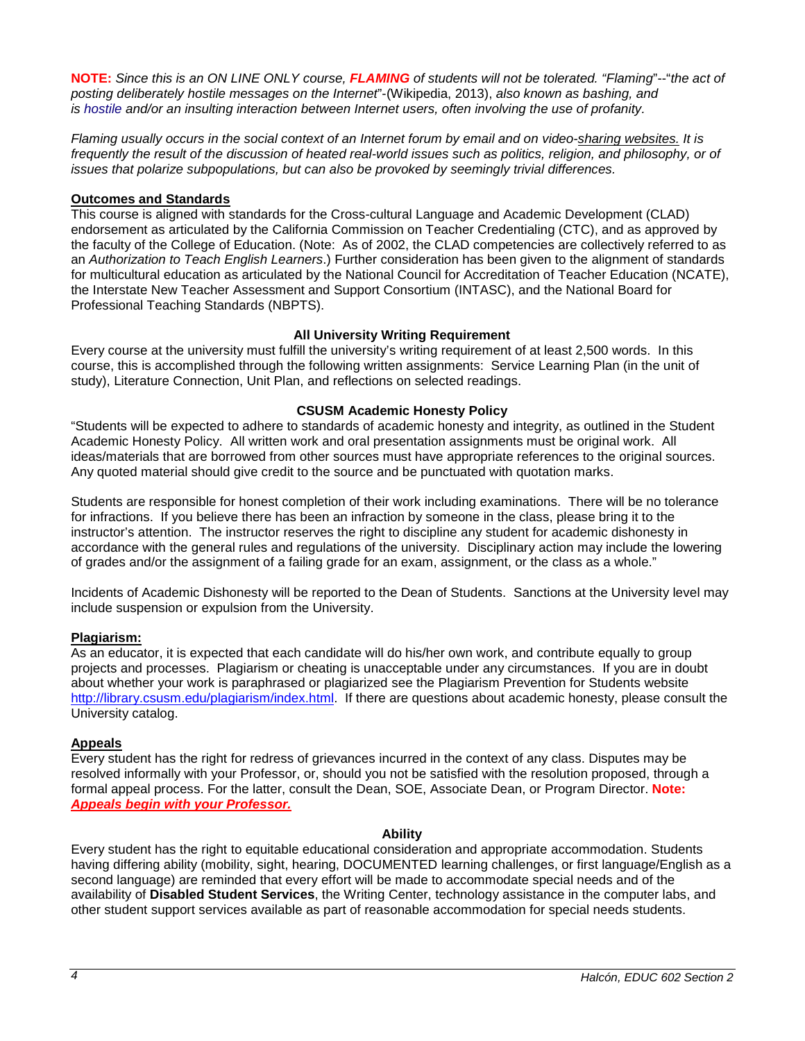**NOTE:** *Since this is an ON LINE ONLY course, FLAMING of students will not be tolerated. "Flaming*"--"*the act of posting deliberately hostile messages on the Internet*"-(Wikipedia, 2013), *also known as bashing, and is [hostile](http://en.wikipedia.org/wiki/Hostile) and/or an insulting interaction between Internet users, often involving the use of [profanity.](http://en.wikipedia.org/wiki/Profanity)* 

*Flaming usually occurs in the social context of an Internet forum by email and on [video-sharing websites.](http://en.wikipedia.org/wiki/Video_hosting_service) It is*  frequently the result of the discussion of heated real-world issues such as politics, religion, and philosophy, or of *issues that polarize subpopulations, but can also be provoked by seemingly trivial differences.*

## <span id="page-3-0"></span>**Outcomes and Standards**

This course is aligned with standards for the Cross-cultural Language and Academic Development (CLAD) endorsement as articulated by the California Commission on Teacher Credentialing (CTC), and as approved by the faculty of the College of Education. (Note: As of 2002, the CLAD competencies are collectively referred to as an *Authorization to Teach English Learners*.) Further consideration has been given to the alignment of standards for multicultural education as articulated by the National Council for Accreditation of Teacher Education (NCATE), the Interstate New Teacher Assessment and Support Consortium (INTASC), and the National Board for Professional Teaching Standards (NBPTS).

# **All University Writing Requirement**

<span id="page-3-1"></span>Every course at the university must fulfill the university's writing requirement of at least 2,500 words. In this course, this is accomplished through the following written assignments: Service Learning Plan (in the unit of study), Literature Connection, Unit Plan, and reflections on selected readings.

## **CSUSM Academic Honesty Policy**

<span id="page-3-2"></span>"Students will be expected to adhere to standards of academic honesty and integrity, as outlined in the Student Academic Honesty Policy. All written work and oral presentation assignments must be original work. All ideas/materials that are borrowed from other sources must have appropriate references to the original sources. Any quoted material should give credit to the source and be punctuated with quotation marks.

Students are responsible for honest completion of their work including examinations. There will be no tolerance for infractions. If you believe there has been an infraction by someone in the class, please bring it to the instructor's attention. The instructor reserves the right to discipline any student for academic dishonesty in accordance with the general rules and regulations of the university. Disciplinary action may include the lowering of grades and/or the assignment of a failing grade for an exam, assignment, or the class as a whole."

Incidents of Academic Dishonesty will be reported to the Dean of Students. Sanctions at the University level may include suspension or expulsion from the University.

## <span id="page-3-3"></span>**Plagiarism:**

As an educator, it is expected that each candidate will do his/her own work, and contribute equally to group projects and processes. Plagiarism or cheating is unacceptable under any circumstances. If you are in doubt about whether your work is paraphrased or plagiarized see the Plagiarism Prevention for Students website [http://library.csusm.edu/plagiarism/index.html.](http://library.csusm.edu/plagiarism/index.html) If there are questions about academic honesty, please consult the University catalog.

## <span id="page-3-4"></span>**Appeals**

Every student has the right for redress of grievances incurred in the context of any class. Disputes may be resolved informally with your Professor, or, should you not be satisfied with the resolution proposed, through a formal appeal process. For the latter, consult the Dean, SOE, Associate Dean, or Program Director. **Note:** *Appeals begin with your Professor.*

## **Ability**

<span id="page-3-6"></span><span id="page-3-5"></span>Every student has the right to equitable educational consideration and appropriate accommodation. Students having differing ability (mobility, sight, hearing, DOCUMENTED learning challenges, or first language/English as a second language) are reminded that every effort will be made to accommodate special needs and of the availability of **Disabled Student Services**, the Writing Center, technology assistance in the computer labs, and other student support services available as part of reasonable accommodation for special needs students.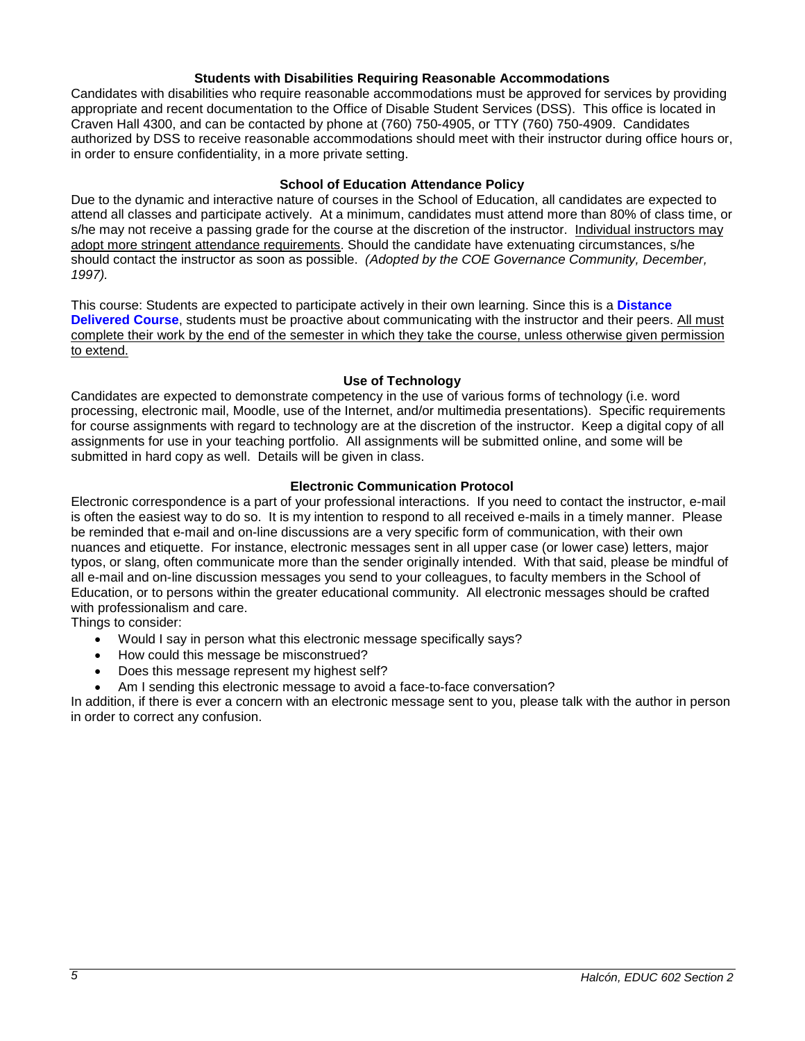#### **Students with Disabilities Requiring Reasonable Accommodations**

Candidates with disabilities who require reasonable accommodations must be approved for services by providing appropriate and recent documentation to the Office of Disable Student Services (DSS). This office is located in Craven Hall 4300, and can be contacted by phone at (760) 750-4905, or TTY (760) 750-4909. Candidates authorized by DSS to receive reasonable accommodations should meet with their instructor during office hours or, in order to ensure confidentiality, in a more private setting.

#### **School of Education Attendance Policy**

<span id="page-4-0"></span>Due to the dynamic and interactive nature of courses in the School of Education, all candidates are expected to attend all classes and participate actively. At a minimum, candidates must attend more than 80% of class time, or s/he may not receive a passing grade for the course at the discretion of the instructor. Individual instructors may adopt more stringent attendance requirements. Should the candidate have extenuating circumstances, s/he should contact the instructor as soon as possible. *(Adopted by the COE Governance Community, December, 1997).*

This course: Students are expected to participate actively in their own learning. Since this is a **Distance Delivered Course**, students must be proactive about communicating with the instructor and their peers. All must complete their work by the end of the semester in which they take the course, unless otherwise given permission to extend.

#### **Use of Technology**

<span id="page-4-1"></span>Candidates are expected to demonstrate competency in the use of various forms of technology (i.e. word processing, electronic mail, Moodle, use of the Internet, and/or multimedia presentations). Specific requirements for course assignments with regard to technology are at the discretion of the instructor. Keep a digital copy of all assignments for use in your teaching portfolio. All assignments will be submitted online, and some will be submitted in hard copy as well. Details will be given in class.

## **Electronic Communication Protocol**

<span id="page-4-2"></span>Electronic correspondence is a part of your professional interactions. If you need to contact the instructor, e-mail is often the easiest way to do so. It is my intention to respond to all received e-mails in a timely manner. Please be reminded that e-mail and on-line discussions are a very specific form of communication, with their own nuances and etiquette. For instance, electronic messages sent in all upper case (or lower case) letters, major typos, or slang, often communicate more than the sender originally intended. With that said, please be mindful of all e-mail and on-line discussion messages you send to your colleagues, to faculty members in the School of Education, or to persons within the greater educational community. All electronic messages should be crafted with professionalism and care.

Things to consider:

- Would I say in person what this electronic message specifically says?
- How could this message be misconstrued?
- Does this message represent my highest self?
- Am I sending this electronic message to avoid a face-to-face conversation?

<span id="page-4-3"></span>In addition, if there is ever a concern with an electronic message sent to you, please talk with the author in person in order to correct any confusion.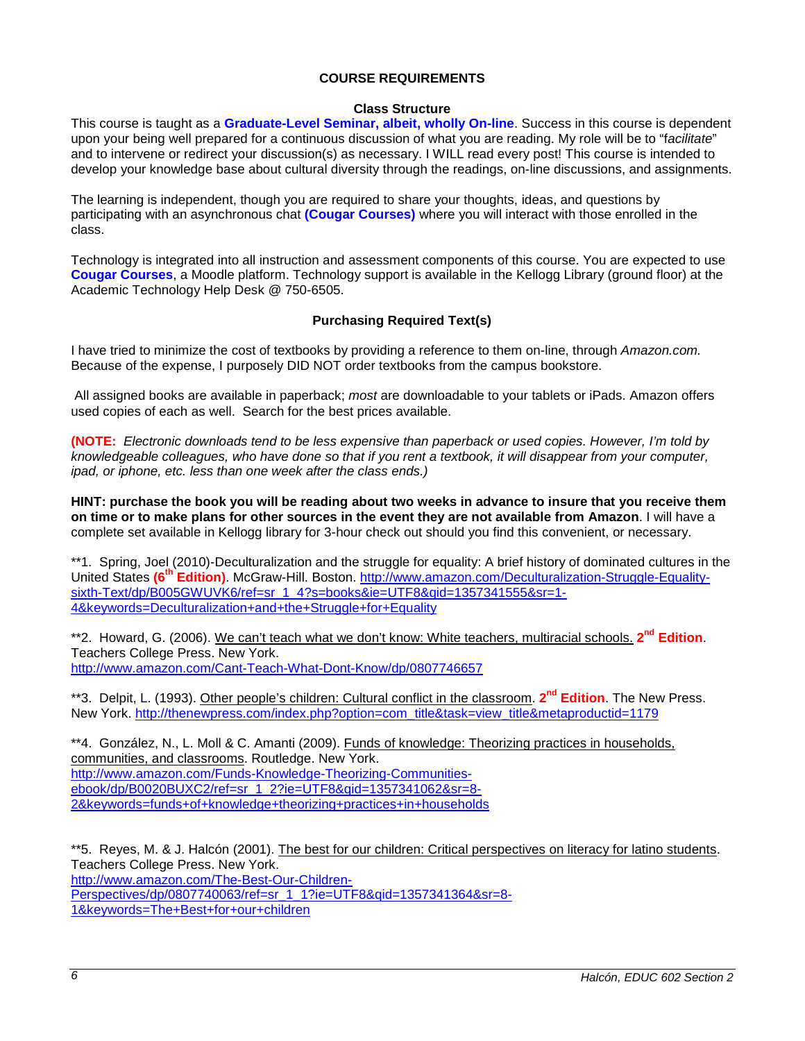#### **COURSE REQUIREMENTS**

#### **Class Structure**

<span id="page-5-0"></span>This course is taught as a **Graduate-Level Seminar, albeit, wholly On-line**. Success in this course is dependent upon your being well prepared for a continuous discussion of what you are reading. My role will be to "f*acilitate*" and to intervene or redirect your discussion(s) as necessary. I WILL read every post! This course is intended to develop your knowledge base about cultural diversity through the readings, on-line discussions, and assignments.

The learning is independent, though you are required to share your thoughts, ideas, and questions by participating with an asynchronous chat **(Cougar Courses)** where you will interact with those enrolled in the class.

Technology is integrated into all instruction and assessment components of this course. You are expected to use **Cougar Courses**, a Moodle platform. Technology support is available in the Kellogg Library (ground floor) at the Academic Technology Help Desk @ 750-6505.

#### **Purchasing Required Text(s)**

<span id="page-5-1"></span>I have tried to minimize the cost of textbooks by providing a reference to them on-line, through *Amazon.com.*  Because of the expense, I purposely DID NOT order textbooks from the campus bookstore.

All assigned books are available in paperback; *most* are downloadable to your tablets or iPads. Amazon offers used copies of each as well. Search for the best prices available.

**(NOTE:** *Electronic downloads tend to be less expensive than paperback or used copies. However, I'm told by knowledgeable colleagues, who have done so that if you rent a textbook, it will disappear from your computer, ipad, or iphone, etc. less than one week after the class ends.)*

**HINT: purchase the book you will be reading about two weeks in advance to insure that you receive them on time or to make plans for other sources in the event they are not available from Amazon**. I will have a complete set available in Kellogg library for 3-hour check out should you find this convenient, or necessary.

\*\*1. Spring, Joel (2010)-Deculturalization and the struggle for equality: A brief history of dominated cultures in the United States **(6th Edition)**. McGraw-Hill. Boston. [http://www.amazon.com/Deculturalization-Struggle-Equality](http://www.amazon.com/Deculturalization-Struggle-Equality-sixth-Text/dp/B005GWUVK6/ref=sr_1_4?s=books&ie=UTF8&qid=1357341555&sr=1-4&keywords=Deculturalization+and+the+Struggle+for+Equality)[sixth-Text/dp/B005GWUVK6/ref=sr\\_1\\_4?s=books&ie=UTF8&qid=1357341555&sr=1-](http://www.amazon.com/Deculturalization-Struggle-Equality-sixth-Text/dp/B005GWUVK6/ref=sr_1_4?s=books&ie=UTF8&qid=1357341555&sr=1-4&keywords=Deculturalization+and+the+Struggle+for+Equality) [4&keywords=Deculturalization+and+the+Struggle+for+Equality](http://www.amazon.com/Deculturalization-Struggle-Equality-sixth-Text/dp/B005GWUVK6/ref=sr_1_4?s=books&ie=UTF8&qid=1357341555&sr=1-4&keywords=Deculturalization+and+the+Struggle+for+Equality)

\*\*2. Howard, G. (2006). We can't teach what we don't know: White teachers, multiracial schools. **2nd Edition**. Teachers College Press. New York. <http://www.amazon.com/Cant-Teach-What-Dont-Know/dp/0807746657>

\*\*3. Delpit, L. (1993). Other people's children: Cultural conflict in the classroom. **2nd Edition**. The New Press. New York. [http://thenewpress.com/index.php?option=com\\_title&task=view\\_title&metaproductid=1179](http://thenewpress.com/index.php?option=com_title&task=view_title&metaproductid=1179)

\*\*4. González, N., L. Moll & C. Amanti (2009). Funds of knowledge: Theorizing practices in households, communities, and classrooms. Routledge. New York. [http://www.amazon.com/Funds-Knowledge-Theorizing-Communities](http://www.amazon.com/Funds-Knowledge-Theorizing-Communities-ebook/dp/B0020BUXC2/ref=sr_1_2?ie=UTF8&qid=1357341062&sr=8-2&keywords=funds+of+knowledge+theorizing+practices+in+households)[ebook/dp/B0020BUXC2/ref=sr\\_1\\_2?ie=UTF8&qid=1357341062&sr=8-](http://www.amazon.com/Funds-Knowledge-Theorizing-Communities-ebook/dp/B0020BUXC2/ref=sr_1_2?ie=UTF8&qid=1357341062&sr=8-2&keywords=funds+of+knowledge+theorizing+practices+in+households) [2&keywords=funds+of+knowledge+theorizing+practices+in+households](http://www.amazon.com/Funds-Knowledge-Theorizing-Communities-ebook/dp/B0020BUXC2/ref=sr_1_2?ie=UTF8&qid=1357341062&sr=8-2&keywords=funds+of+knowledge+theorizing+practices+in+households)

\*\*5. Reyes, M. & J. Halcón (2001). The best for our children: Critical perspectives on literacy for latino students. Teachers College Press. New York. [http://www.amazon.com/The-Best-Our-Children-](http://www.amazon.com/The-Best-Our-Children-Perspectives/dp/0807740063/ref=sr_1_1?ie=UTF8&qid=1357341364&sr=8-1&keywords=The+Best+for+our+children)[Perspectives/dp/0807740063/ref=sr\\_1\\_1?ie=UTF8&qid=1357341364&sr=8-](http://www.amazon.com/The-Best-Our-Children-Perspectives/dp/0807740063/ref=sr_1_1?ie=UTF8&qid=1357341364&sr=8-1&keywords=The+Best+for+our+children) [1&keywords=The+Best+for+our+children](http://www.amazon.com/The-Best-Our-Children-Perspectives/dp/0807740063/ref=sr_1_1?ie=UTF8&qid=1357341364&sr=8-1&keywords=The+Best+for+our+children)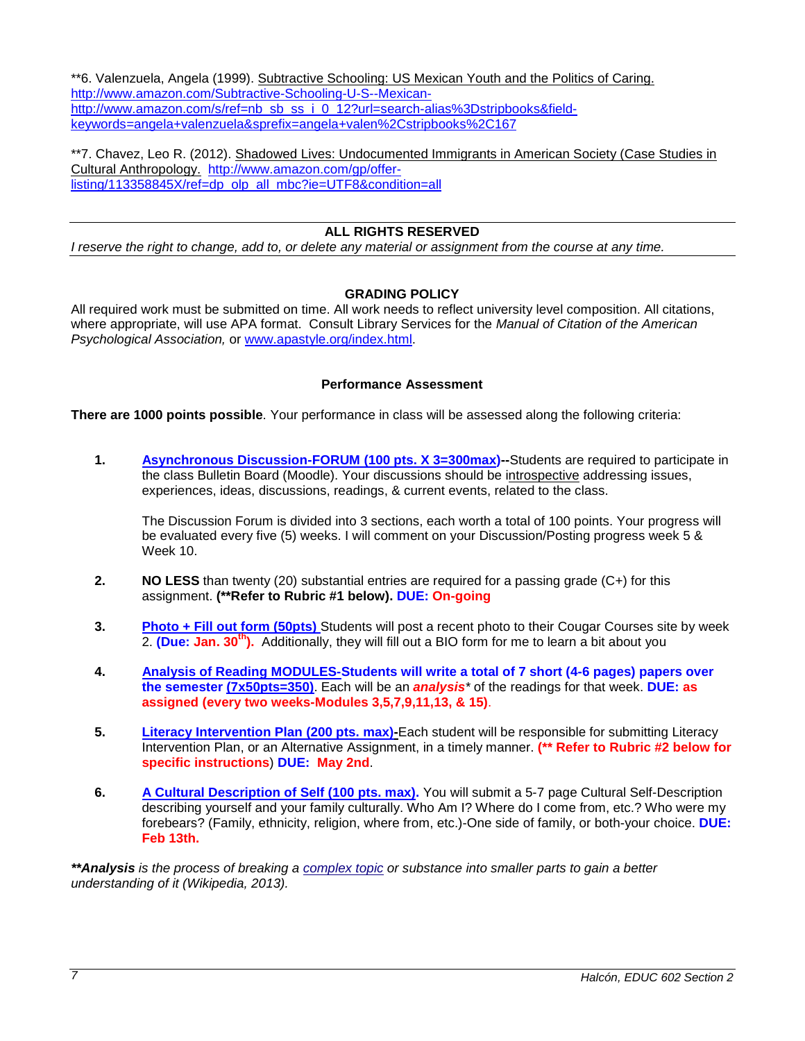\*\*6. Valenzuela, Angela (1999). Subtractive Schooling: US Mexican Youth and the Politics of Caring. [http://www.amazon.com/Subtractive-Schooling-U-S--Mexican](http://www.amazon.com/Subtractive-Schooling-U-S--Mexican-http:/www.amazon.com/s/ref=nb_sb_ss_i_0_12?url=search-alias%3Dstripbooks&field-keywords=angela+valenzuela&sprefix=angela+valen%2Cstripbooks%2C167)[http://www.amazon.com/s/ref=nb\\_sb\\_ss\\_i\\_0\\_12?url=search-alias%3Dstripbooks&field](http://www.amazon.com/Subtractive-Schooling-U-S--Mexican-http:/www.amazon.com/s/ref=nb_sb_ss_i_0_12?url=search-alias%3Dstripbooks&field-keywords=angela+valenzuela&sprefix=angela+valen%2Cstripbooks%2C167)[keywords=angela+valenzuela&sprefix=angela+valen%2Cstripbooks%2C167](http://www.amazon.com/Subtractive-Schooling-U-S--Mexican-http:/www.amazon.com/s/ref=nb_sb_ss_i_0_12?url=search-alias%3Dstripbooks&field-keywords=angela+valenzuela&sprefix=angela+valen%2Cstripbooks%2C167)

\*\*7. Chavez, Leo R. (2012). Shadowed Lives: Undocumented Immigrants in American Society (Case Studies in Cultural Anthropology. [http://www.amazon.com/gp/offer](http://www.amazon.com/gp/offer-listing/113358845X/ref=dp_olp_all_mbc?ie=UTF8&condition=all)[listing/113358845X/ref=dp\\_olp\\_all\\_mbc?ie=UTF8&condition=all](http://www.amazon.com/gp/offer-listing/113358845X/ref=dp_olp_all_mbc?ie=UTF8&condition=all)

## **ALL RIGHTS RESERVED**

<span id="page-6-0"></span>*I reserve the right to change, add to, or delete any material or assignment from the course at any time.* 

## **GRADING POLICY**

<span id="page-6-1"></span>All required work must be submitted on time. All work needs to reflect university level composition. All citations, where appropriate, will use APA format. Consult Library Services for the *Manual of Citation of the American Psychological Association,* or [www.apastyle.org/index.html.](http://www.apastyle.org/index.html)

#### **Performance Assessment**

<span id="page-6-2"></span>**There are 1000 points possible**. Your performance in class will be assessed along the following criteria:

**1. Asynchronous Discussion-FORUM (100 pts. X 3=300max)--**Students are required to participate in the class Bulletin Board (Moodle). Your discussions should be introspective addressing issues, experiences, ideas, discussions, readings, & current events, related to the class.

The Discussion Forum is divided into 3 sections, each worth a total of 100 points. Your progress will be evaluated every five (5) weeks. I will comment on your Discussion/Posting progress week 5 & Week 10.

- **2. NO LESS** than twenty (20) substantial entries are required for a passing grade (C+) for this assignment. **(\*\*Refer to Rubric #1 below). DUE: On-going**
- **3. Photo + Fill out form (50pts)** Students will post a recent photo to their Cougar Courses site by week 2. **(Due: Jan. 30th).** Additionally, they will fill out a BIO form for me to learn a bit about you
- **4. Analysis of Reading MODULES-Students will write a total of 7 short (4-6 pages) papers over the semester (7x50pts=350)**. Each will be an *analysis\** of the readings for that week. **DUE: as assigned (every two weeks-Modules 3,5,7,9,11,13, & 15)**.
- **5. Literacy Intervention Plan (200 pts. max)-**Each student will be responsible for submitting Literacy Intervention Plan, or an Alternative Assignment, in a timely manner. **(\*\* Refer to Rubric #2 below for specific instructions**) **DUE: May 2nd**.
- **6. A Cultural Description of Self (100 pts. max).** You will submit a 5-7 page Cultural Self-Description describing yourself and your family culturally. Who Am I? Where do I come from, etc.? Who were my forebears? (Family, ethnicity, religion, where from, etc.)-One side of family, or both-your choice. **DUE: Feb 13th.**

*\*\*Analysis is the process of breaking a [complex topic](http://en.wikipedia.org/wiki/Complexity) or substance into smaller parts to gain a better understanding of it (Wikipedia, 2013).*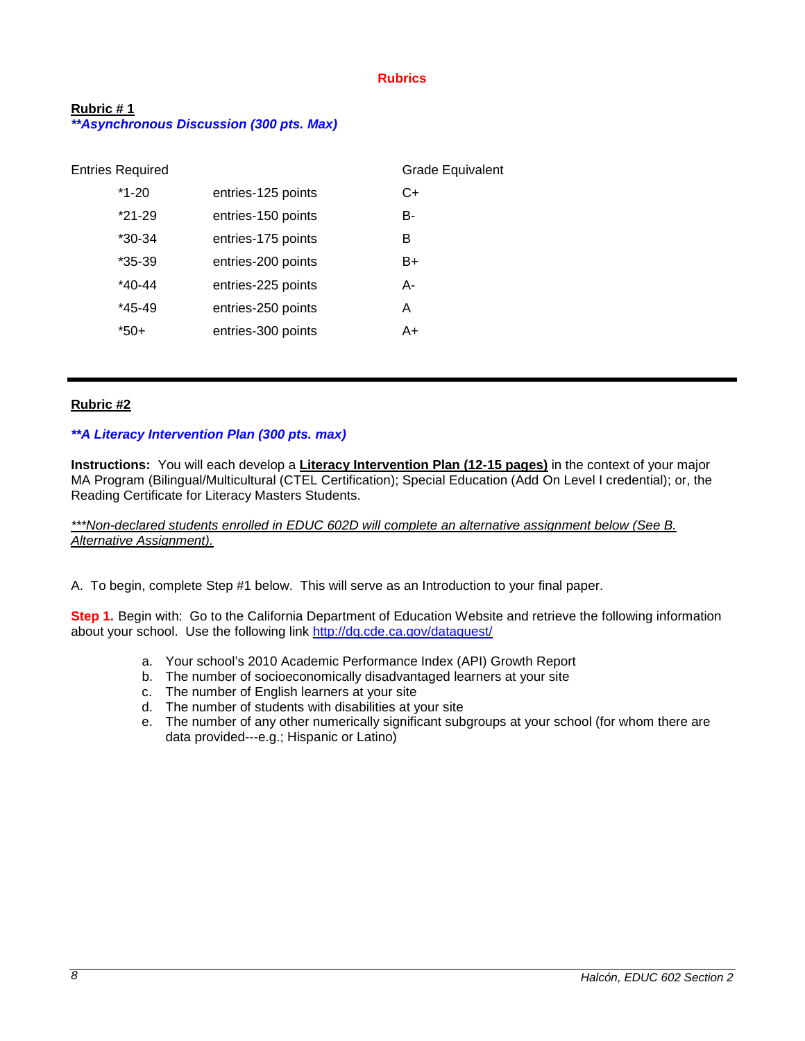#### **Rubrics**

## <span id="page-7-1"></span><span id="page-7-0"></span>**Rubric # 1** *\*\*Asynchronous Discussion (300 pts. Max)*

| <b>Entries Required</b> |                    | <b>Grade Equivalent</b> |
|-------------------------|--------------------|-------------------------|
| $*1-20$                 | entries-125 points | C+                      |
| $*21-29$                | entries-150 points | B-                      |
| *30-34                  | entries-175 points | в                       |
| $*35-39$                | entries-200 points | B+                      |
| $*40-44$                | entries-225 points | А-                      |
| $*45-49$                | entries-250 points | A                       |
| *50+                    | entries-300 points | A+                      |
|                         |                    |                         |

#### <span id="page-7-2"></span>**Rubric #2**

#### *\*\*A Literacy Intervention Plan (300 pts. max)*

**Instructions:** You will each develop a **Literacy Intervention Plan (12-15 pages)** in the context of your major MA Program (Bilingual/Multicultural (CTEL Certification); Special Education (Add On Level I credential); or, the Reading Certificate for Literacy Masters Students.

*\*\*\*Non-declared students enrolled in EDUC 602D will complete an alternative assignment below (See B. Alternative Assignment).*

A. To begin, complete Step #1 below. This will serve as an Introduction to your final paper.

**Step 1.** Begin with: Go to the California Department of Education Website and retrieve the following information about your school. Use the following link<http://dq.cde.ca.gov/dataquest/>

- a. Your school's 2010 Academic Performance Index (API) Growth Report
- b. The number of socioeconomically disadvantaged learners at your site
- c. The number of English learners at your site
- d. The number of students with disabilities at your site
- e. The number of any other numerically significant subgroups at your school (for whom there are data provided---e.g.; Hispanic or Latino)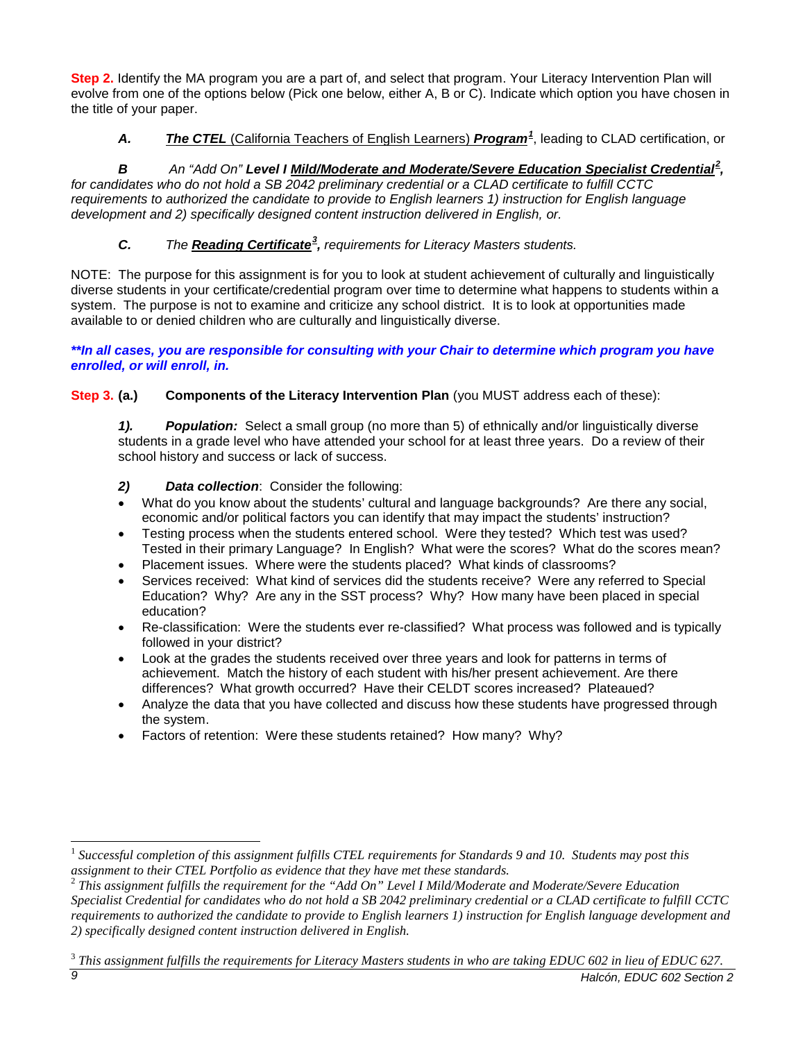**Step 2.** Identify the MA program you are a part of, and select that program. Your Literacy Intervention Plan will evolve from one of the options below (Pick one below, either A, B or C). Indicate which option you have chosen in the title of your paper.

# *A. The CTEL* (California Teachers of English Learners) *Program[1](#page-8-0)* , leading to CLAD certification, or

# B An "Add On" Level I Mild/Moderate and Moderate/Severe Education Specialist Credential<sup>[2](#page-8-1)</sup>,

*for candidates who do not hold a SB 2042 preliminary credential or a CLAD certificate to fulfill CCTC requirements to authorized the candidate to provide to English learners 1) instruction for English language development and 2) specifically designed content instruction delivered in English, or.*

# *C. The Reading Certificate[3](#page-8-2) , requirements for Literacy Masters students.*

NOTE: The purpose for this assignment is for you to look at student achievement of culturally and linguistically diverse students in your certificate/credential program over time to determine what happens to students within a system. The purpose is not to examine and criticize any school district. It is to look at opportunities made available to or denied children who are culturally and linguistically diverse.

*\*\*In all cases, you are responsible for consulting with your Chair to determine which program you have enrolled, or will enroll, in.* 

**Step 3. (a.) Components of the Literacy Intervention Plan** (you MUST address each of these):

*1). Population:* Select a small group (no more than 5) of ethnically and/or linguistically diverse students in a grade level who have attended your school for at least three years. Do a review of their school history and success or lack of success.

# *2) Data collection*: Consider the following:

- What do you know about the students' cultural and language backgrounds? Are there any social, economic and/or political factors you can identify that may impact the students' instruction?
- Testing process when the students entered school. Were they tested? Which test was used? Tested in their primary Language? In English? What were the scores? What do the scores mean?
- Placement issues. Where were the students placed? What kinds of classrooms?
- Services received: What kind of services did the students receive? Were any referred to Special Education? Why? Are any in the SST process? Why? How many have been placed in special education?
- Re-classification: Were the students ever re-classified? What process was followed and is typically followed in your district?
- Look at the grades the students received over three years and look for patterns in terms of achievement. Match the history of each student with his/her present achievement. Are there differences? What growth occurred? Have their CELDT scores increased? Plateaued?
- Analyze the data that you have collected and discuss how these students have progressed through the system.
- Factors of retention: Were these students retained? How many? Why?

<span id="page-8-0"></span><sup>&</sup>lt;sup>1</sup> Successful completion of this assignment fulfills CTEL requirements for Standards 9 and 10. Students may post this assignment to their CTEL Portfolio as evidence that they have met these standards.

<span id="page-8-1"></span>*This assignment fulfills the requirement for the "Add On" Level I Mild/Moderate and Moderate/Severe Education Specialist Credential for candidates who do not hold a SB 2042 preliminary credential or a CLAD certificate to fulfill CCTC requirements to authorized the candidate to provide to English learners 1) instruction for English language development and 2) specifically designed content instruction delivered in English.*

<span id="page-8-2"></span>*<sup>9</sup> Halcón, EDUC 602 Section 2* <sup>3</sup> *This assignment fulfills the requirements for Literacy Masters students in who are taking EDUC 602 in lieu of EDUC 627.*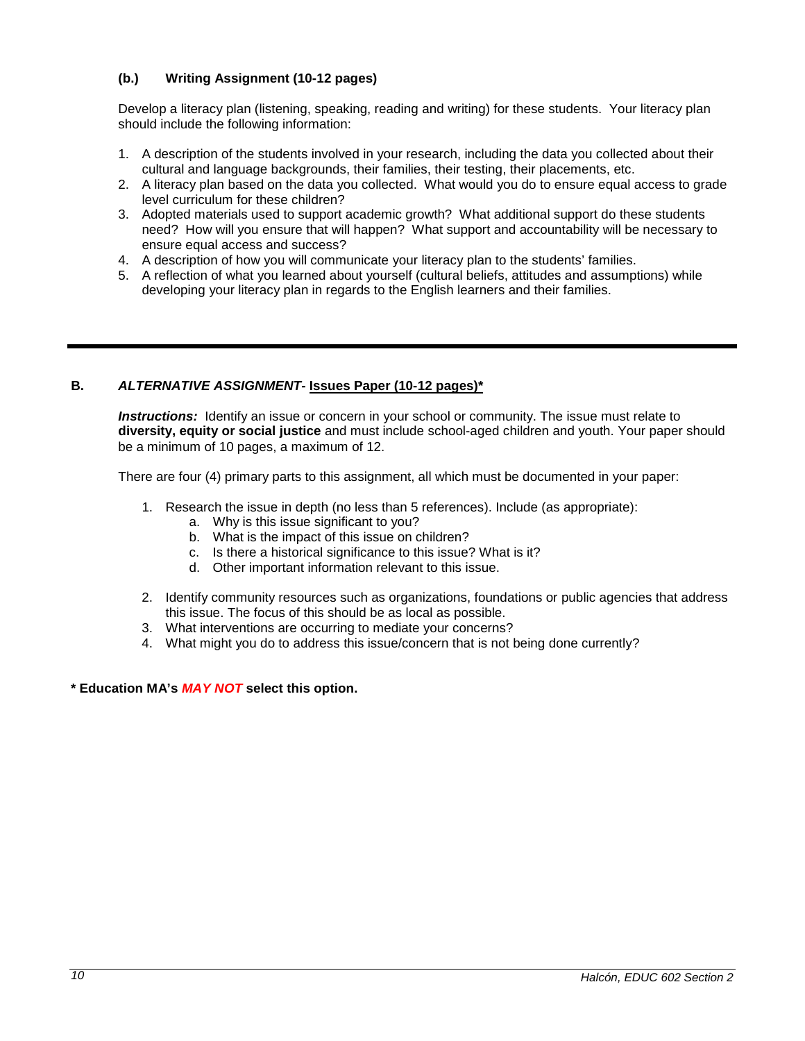# **(b.) Writing Assignment (10-12 pages)**

Develop a literacy plan (listening, speaking, reading and writing) for these students. Your literacy plan should include the following information:

- 1. A description of the students involved in your research, including the data you collected about their cultural and language backgrounds, their families, their testing, their placements, etc.
- 2. A literacy plan based on the data you collected. What would you do to ensure equal access to grade level curriculum for these children?
- 3. Adopted materials used to support academic growth? What additional support do these students need? How will you ensure that will happen? What support and accountability will be necessary to ensure equal access and success?
- 4. A description of how you will communicate your literacy plan to the students' families.
- 5. A reflection of what you learned about yourself (cultural beliefs, attitudes and assumptions) while developing your literacy plan in regards to the English learners and their families.

## **B.** *ALTERNATIVE ASSIGNMENT***- Issues Paper (10-12 pages)\***

*Instructions:* Identify an issue or concern in your school or community. The issue must relate to **diversity, equity or social justice** and must include school-aged children and youth. Your paper should be a minimum of 10 pages, a maximum of 12.

There are four (4) primary parts to this assignment, all which must be documented in your paper:

- 1. Research the issue in depth (no less than 5 references). Include (as appropriate):
	- a. Why is this issue significant to you?
	- b. What is the impact of this issue on children?
	- c. Is there a historical significance to this issue? What is it?
	- d. Other important information relevant to this issue.
- 2. Identify community resources such as organizations, foundations or public agencies that address this issue. The focus of this should be as local as possible.
- 3. What interventions are occurring to mediate your concerns?
- 4. What might you do to address this issue/concern that is not being done currently?

**\* Education MA's** *MAY NOT* **select this option.**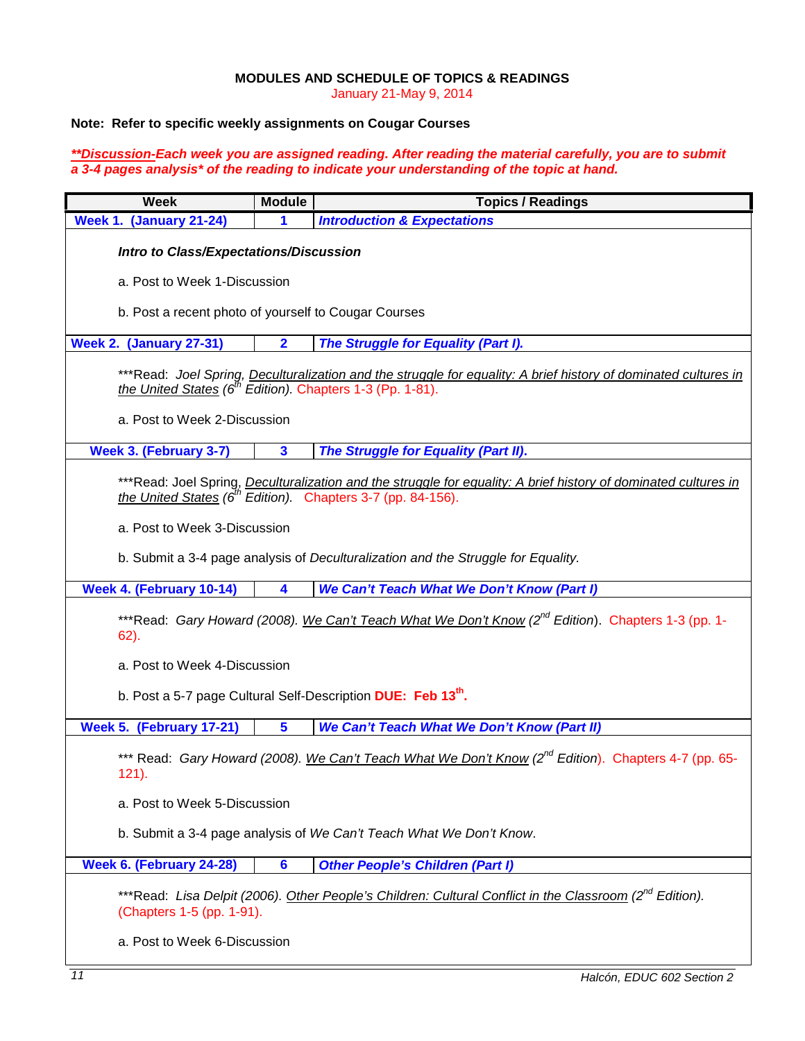#### **MODULES AND SCHEDULE OF TOPICS & READINGS**

January 21-May 9, 2014

# <span id="page-10-0"></span>**Note: Refer to specific weekly assignments on Cougar Courses**

#### *\*\*Discussion-Each week you are assigned reading. After reading the material carefully, you are to submit a 3-4 pages analysis\* of the reading to indicate your understanding of the topic at hand.*

| <b>Week</b>                                                                                                                                                                                | <b>Module</b>                                        | <b>Topics / Readings</b>                   |  |  |  |
|--------------------------------------------------------------------------------------------------------------------------------------------------------------------------------------------|------------------------------------------------------|--------------------------------------------|--|--|--|
| Week 1. (January 21-24)                                                                                                                                                                    | 1                                                    | <b>Introduction &amp; Expectations</b>     |  |  |  |
| <b>Intro to Class/Expectations/Discussion</b>                                                                                                                                              |                                                      |                                            |  |  |  |
| a. Post to Week 1-Discussion                                                                                                                                                               |                                                      |                                            |  |  |  |
|                                                                                                                                                                                            | b. Post a recent photo of yourself to Cougar Courses |                                            |  |  |  |
| <b>Week 2. (January 27-31)</b>                                                                                                                                                             | $\overline{\mathbf{2}}$                              | The Struggle for Equality (Part I).        |  |  |  |
| ***Read: Joel Spring, Deculturalization and the struggle for equality: A brief history of dominated cultures in<br>the United States (6 <sup>th</sup> Edition). Chapters 1-3 (Pp. 1-81).   |                                                      |                                            |  |  |  |
| a. Post to Week 2-Discussion                                                                                                                                                               |                                                      |                                            |  |  |  |
| <b>Week 3. (February 3-7)</b>                                                                                                                                                              | $\overline{\mathbf{3}}$                              | The Struggle for Equality (Part II).       |  |  |  |
| ***Read: Joel Spring, Deculturalization and the struggle for equality: A brief history of dominated cultures in<br>the United States ( $\vec{6}^{th}$ Edition). Chapters 3-7 (pp. 84-156). |                                                      |                                            |  |  |  |
| a. Post to Week 3-Discussion                                                                                                                                                               |                                                      |                                            |  |  |  |
| b. Submit a 3-4 page analysis of Deculturalization and the Struggle for Equality.                                                                                                          |                                                      |                                            |  |  |  |
| Week 4. (February 10-14)                                                                                                                                                                   | 4                                                    | We Can't Teach What We Don't Know (Part I) |  |  |  |
| ***Read: Gary Howard (2008). We Can't Teach What We Don't Know (2 <sup>nd</sup> Edition). Chapters 1-3 (pp. 1-<br>$62$ ).                                                                  |                                                      |                                            |  |  |  |
| a. Post to Week 4-Discussion                                                                                                                                                               |                                                      |                                            |  |  |  |
| b. Post a 5-7 page Cultural Self-Description DUE: Feb 13 <sup>th</sup> .                                                                                                                   |                                                      |                                            |  |  |  |
| We Can't Teach What We Don't Know (Part II)<br>Week 5. (February 17-21)<br>$\overline{\mathbf{5}}$                                                                                         |                                                      |                                            |  |  |  |
| *** Read: Gary Howard (2008). We Can't Teach What We Don't Know (2 <sup>nd</sup> Edition). Chapters 4-7 (pp. 65-<br>$121$ ).                                                               |                                                      |                                            |  |  |  |
| a. Post to Week 5-Discussion                                                                                                                                                               |                                                      |                                            |  |  |  |
| b. Submit a 3-4 page analysis of We Can't Teach What We Don't Know.                                                                                                                        |                                                      |                                            |  |  |  |
| Week 6. (February 24-28)<br>$6\phantom{a}$<br><b>Other People's Children (Part I)</b>                                                                                                      |                                                      |                                            |  |  |  |
| ***Read: Lisa Delpit (2006). Other People's Children: Cultural Conflict in the Classroom (2 <sup>nd</sup> Edition).<br>(Chapters 1-5 (pp. 1-91).                                           |                                                      |                                            |  |  |  |
| a. Post to Week 6-Discussion                                                                                                                                                               |                                                      |                                            |  |  |  |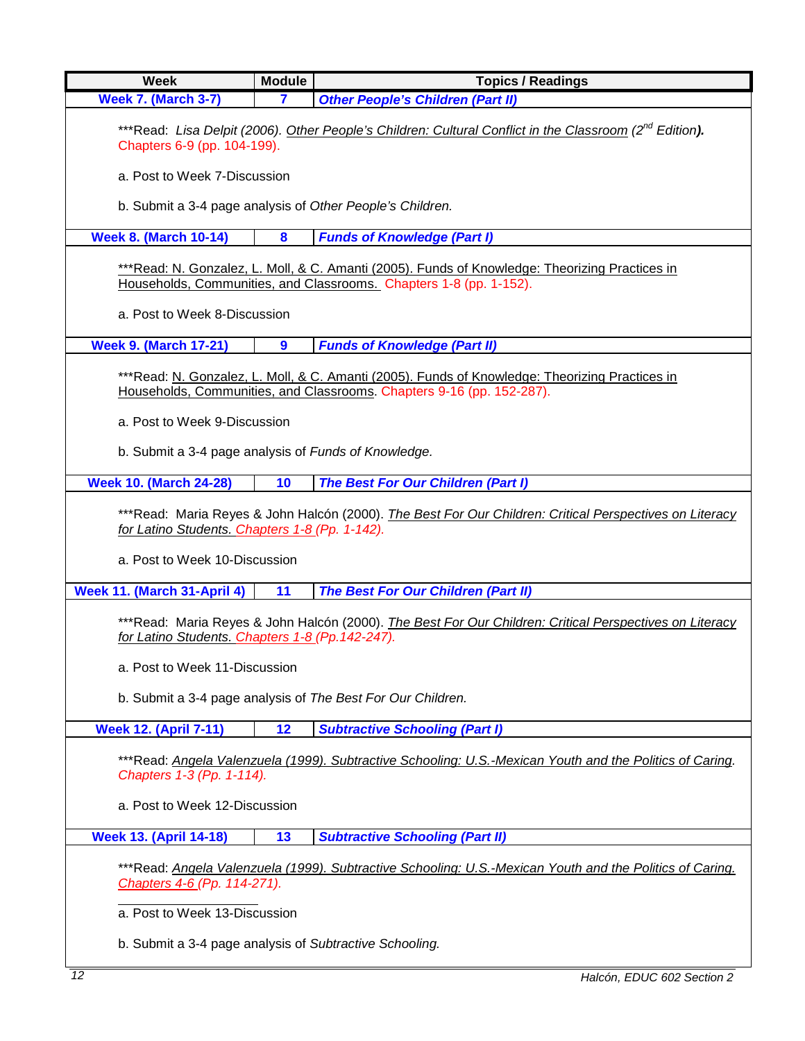| <b>Week</b>                                                                                                                                                                                | <b>Module</b>    | <b>Topics / Readings</b>                   |  |  |
|--------------------------------------------------------------------------------------------------------------------------------------------------------------------------------------------|------------------|--------------------------------------------|--|--|
| <b>Week 7. (March 3-7)</b>                                                                                                                                                                 | $\mathbf{7}$     | <b>Other People's Children (Part II)</b>   |  |  |
| ***Read: Lisa Delpit (2006). Other People's Children: Cultural Conflict in the Classroom (2 <sup>nd</sup> Edition).<br>Chapters 6-9 (pp. 104-199).                                         |                  |                                            |  |  |
| a. Post to Week 7-Discussion                                                                                                                                                               |                  |                                            |  |  |
| b. Submit a 3-4 page analysis of Other People's Children.                                                                                                                                  |                  |                                            |  |  |
| <b>Week 8. (March 10-14)</b>                                                                                                                                                               | 8                | <b>Funds of Knowledge (Part I)</b>         |  |  |
| ***Read: N. Gonzalez, L. Moll, & C. Amanti (2005). Funds of Knowledge: Theorizing Practices in<br>Households, Communities, and Classrooms. Chapters 1-8 (pp. 1-152).                       |                  |                                            |  |  |
| a. Post to Week 8-Discussion                                                                                                                                                               |                  |                                            |  |  |
| <b>Week 9. (March 17-21)</b>                                                                                                                                                               | $\boldsymbol{9}$ | <b>Funds of Knowledge (Part II)</b>        |  |  |
| ***Read: N. Gonzalez, L. Moll, & C. Amanti (2005). Funds of Knowledge: Theorizing Practices in<br>Households, Communities, and Classrooms. Chapters 9-16 (pp. 152-287).                    |                  |                                            |  |  |
| a. Post to Week 9-Discussion                                                                                                                                                               |                  |                                            |  |  |
| b. Submit a 3-4 page analysis of Funds of Knowledge.                                                                                                                                       |                  |                                            |  |  |
| <b>Week 10. (March 24-28)</b>                                                                                                                                                              | 10               | The Best For Our Children (Part I)         |  |  |
| ***Read: Maria Reyes & John Halcón (2000). The Best For Our Children: Critical Perspectives on Literacy<br>for Latino Students. Chapters 1-8 (Pp. 1-142).<br>a. Post to Week 10-Discussion |                  |                                            |  |  |
| Week 11. (March 31-April 4)                                                                                                                                                                | 11               | <b>The Best For Our Children (Part II)</b> |  |  |
| ***Read: Maria Reyes & John Halcón (2000). The Best For Our Children: Critical Perspectives on Literacy<br>for Latino Students. Chapters 1-8 (Pp. 142-247).                                |                  |                                            |  |  |
| a. Post to Week 11-Discussion                                                                                                                                                              |                  |                                            |  |  |
| b. Submit a 3-4 page analysis of The Best For Our Children.                                                                                                                                |                  |                                            |  |  |
| <b>Week 12. (April 7-11)</b>                                                                                                                                                               | 12               | <b>Subtractive Schooling (Part I)</b>      |  |  |
| ***Read: Angela Valenzuela (1999). Subtractive Schooling: U.S.-Mexican Youth and the Politics of Caring.<br>Chapters 1-3 (Pp. 1-114).                                                      |                  |                                            |  |  |
| a. Post to Week 12-Discussion                                                                                                                                                              |                  |                                            |  |  |
| <b>Week 13. (April 14-18)</b>                                                                                                                                                              | 13               | <b>Subtractive Schooling (Part II)</b>     |  |  |
| ***Read: Angela Valenzuela (1999). Subtractive Schooling: U.S.-Mexican Youth and the Politics of Caring.<br>Chapters 4-6 (Pp. 114-271).                                                    |                  |                                            |  |  |
| a. Post to Week 13-Discussion                                                                                                                                                              |                  |                                            |  |  |
| b. Submit a 3-4 page analysis of Subtractive Schooling.                                                                                                                                    |                  |                                            |  |  |